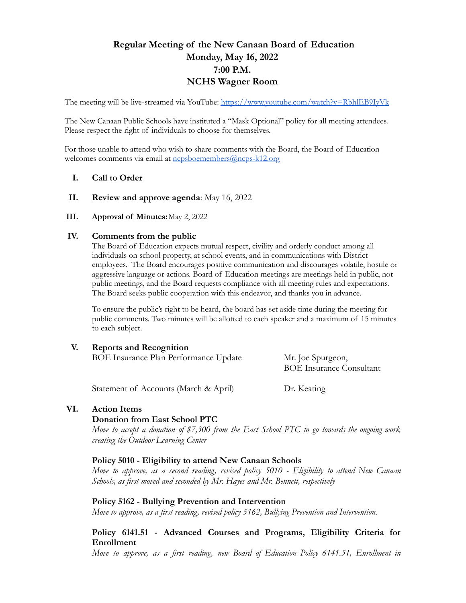# **Regular Meeting of the New Canaan Board of Education Monday, May 16, 2022 7:00 P.M. NCHS Wagner Room**

The meeting will be live-streamed via YouTube: <https://www.youtube.com/watch?v=RbhlEB9IyVk>

The New Canaan Public Schools have instituted a "Mask Optional" policy for all meeting attendees. Please respect the right of individuals to choose for themselves.

For those unable to attend who wish to share comments with the Board, the Board of Education welcomes comments via email at [ncpsboemembers@ncps-k12.org](mailto:ncpsboemembers@ncps-k12.org)

### **I. Call to Order**

**II. Review and approve agenda**: May 16, 2022

#### **III. Approval of Minutes:**May 2, 2022

#### **IV. Comments from the public**

The Board of Education expects mutual respect, civility and orderly conduct among all individuals on school property, at school events, and in communications with District employees. The Board encourages positive communication and discourages volatile, hostile or aggressive language or actions. Board of Education meetings are meetings held in public, not public meetings, and the Board requests compliance with all meeting rules and expectations. The Board seeks public cooperation with this endeavor, and thanks you in advance.

To ensure the public's right to be heard, the board has set aside time during the meeting for public comments. Two minutes will be allotted to each speaker and a maximum of 15 minutes to each subject.

#### **V. Reports and Recognition**

BOE Insurance Plan Performance Update Mr. Joe Spurgeon,

BOE Insurance Consultant

Statement of Accounts (March & April) Dr. Keating

#### **VI. Action Items**

#### **Donation from East School PTC**

*Move to accept a donation of \$7,300 from the East School PTC to go towards the ongoing work creating the Outdoor Learning Center*

#### **Policy 5010 - Eligibility to attend New Canaan Schools**

*Move to approve, as a second reading, revised policy 5010 - Eligibility to attend New Canaan Schools, as first moved and seconded by Mr. Hayes and Mr. Bennett, respectively*

#### **Policy 5162 - Bullying Prevention and Intervention**

*Move to approve, as a first reading, revised policy 5162, Bullying Prevention and Intervention.*

## **Policy 6141.51 - Advanced Courses and Programs, Eligibility Criteria for Enrollment**

*Move to approve, as a first reading, new Board of Education Policy 6141.51, Enrollment in*